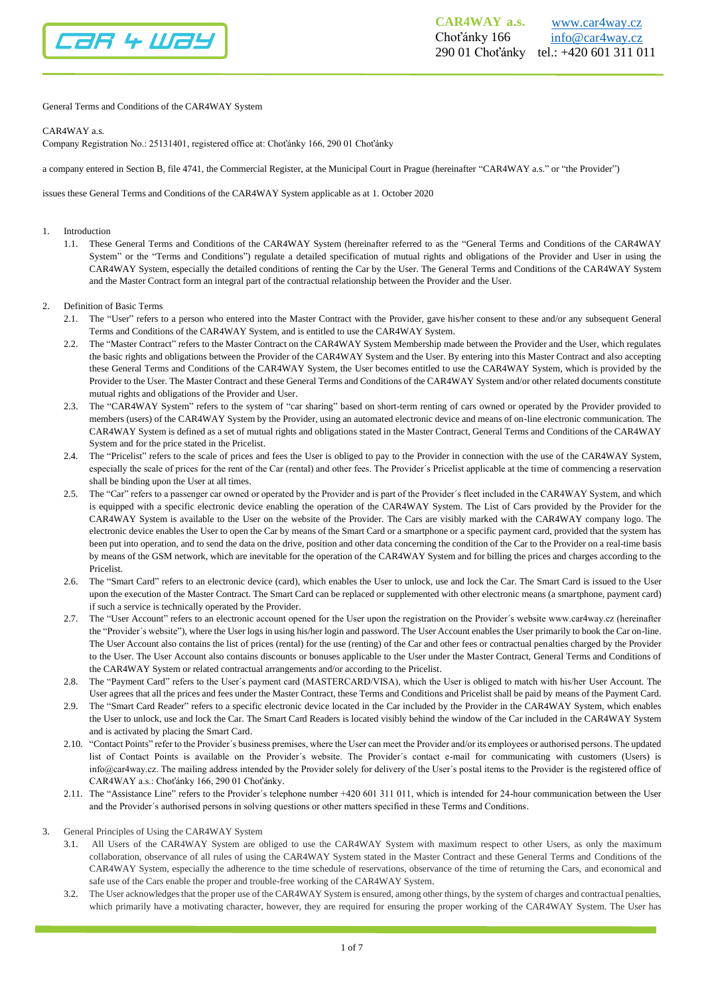

General Terms and Conditions of the CAR4WAY System

## CAR4WAY a.s.

Company Registration No.: 25131401, registered office at: Choťánky 166, 290 01 Choťánky

a company entered in Section B, file 4741, the Commercial Register, at the Municipal Court in Prague (hereinafter "CAR4WAY a.s." or "the Provider")

issues these General Terms and Conditions of the CAR4WAY System applicable as at 1. October 2020

## 1. Introduction

1.1. These General Terms and Conditions of the CAR4WAY System (hereinafter referred to as the "General Terms and Conditions of the CAR4WAY System" or the "Terms and Conditions") regulate a detailed specification of mutual rights and obligations of the Provider and User in using the CAR4WAY System, especially the detailed conditions of renting the Car by the User. The General Terms and Conditions of the CAR4WAY System and the Master Contract form an integral part of the contractual relationship between the Provider and the User.

## 2. Definition of Basic Terms

- 2.1. The "User" refers to a person who entered into the Master Contract with the Provider, gave his/her consent to these and/or any subsequent General Terms and Conditions of the CAR4WAY System, and is entitled to use the CAR4WAY System.
- 2.2. The "Master Contract" refers to the Master Contract on the CAR4WAY System Membership made between the Provider and the User, which regulates the basic rights and obligations between the Provider of the CAR4WAY System and the User. By entering into this Master Contract and also accepting these General Terms and Conditions of the CAR4WAY System, the User becomes entitled to use the CAR4WAY System, which is provided by the Provider to the User. The Master Contract and these General Terms and Conditions of the CAR4WAY System and/or other related documents constitute mutual rights and obligations of the Provider and User.
- 2.3. The "CAR4WAY System" refers to the system of "car sharing" based on short-term renting of cars owned or operated by the Provider provided to members (users) of the CAR4WAY System by the Provider, using an automated electronic device and means of on-line electronic communication. The CAR4WAY System is defined as a set of mutual rights and obligations stated in the Master Contract, General Terms and Conditions of the CAR4WAY System and for the price stated in the Pricelist.
- 2.4. The "Pricelist" refers to the scale of prices and fees the User is obliged to pay to the Provider in connection with the use of the CAR4WAY System, especially the scale of prices for the rent of the Car (rental) and other fees. The Provider´s Pricelist applicable at the time of commencing a reservation shall be binding upon the User at all times.
- 2.5. The "Car" refers to a passenger car owned or operated by the Provider and is part of the Provider´s fleet included in the CAR4WAY System, and which is equipped with a specific electronic device enabling the operation of the CAR4WAY System. The List of Cars provided by the Provider for the CAR4WAY System is available to the User on the website of the Provider. The Cars are visibly marked with the CAR4WAY company logo. The electronic device enables the User to open the Car by means of the Smart Card or a smartphone or a specific payment card, provided that the system has been put into operation, and to send the data on the drive, position and other data concerning the condition of the Car to the Provider on a real-time basis by means of the GSM network, which are inevitable for the operation of the CAR4WAY System and for billing the prices and charges according to the Pricelist.
- 2.6. The "Smart Card" refers to an electronic device (card), which enables the User to unlock, use and lock the Car. The Smart Card is issued to the User upon the execution of the Master Contract. The Smart Card can be replaced or supplemented with other electronic means (a smartphone, payment card) if such a service is technically operated by the Provider.
- 2.7. The "User Account" refers to an electronic account opened for the User upon the registration on the Provider´s website www.car4way.cz (hereinafter the "Provider´s website"), where the User logs in using his/her login and password. The User Account enables the User primarily to book the Car on-line. The User Account also contains the list of prices (rental) for the use (renting) of the Car and other fees or contractual penalties charged by the Provider to the User. The User Account also contains discounts or bonuses applicable to the User under the Master Contract, General Terms and Conditions of the CAR4WAY System or related contractual arrangements and/or according to the Pricelist.
- 2.8. The "Payment Card" refers to the User´s payment card (MASTERCARD/VISA), which the User is obliged to match with his/her User Account. The User agrees that all the prices and fees under the Master Contract, these Terms and Conditions and Pricelist shall be paid by means of the Payment Card.
- 2.9. The "Smart Card Reader" refers to a specific electronic device located in the Car included by the Provider in the CAR4WAY System, which enables the User to unlock, use and lock the Car. The Smart Card Readers is located visibly behind the window of the Car included in the CAR4WAY System and is activated by placing the Smart Card.
- 2.10. "Contact Points" refer to the Provider´s business premises, where the User can meet the Provider and/or its employees or authorised persons. The updated list of Contact Points is available on the Provider´s website. The Provider´s contact e-mail for communicating with customers (Users) is info@car4way.cz. The mailing address intended by the Provider solely for delivery of the User´s postal items to the Provider is the registered office of CAR4WAY a.s.: Choťánky 166, 290 01 Choťánky.
- 2.11. The "Assistance Line" refers to the Provider´s telephone number +420 601 311 011, which is intended for 24-hour communication between the User and the Provider´s authorised persons in solving questions or other matters specified in these Terms and Conditions.
- 3. General Principles of Using the CAR4WAY System
	- 3.1. All Users of the CAR4WAY System are obliged to use the CAR4WAY System with maximum respect to other Users, as only the maximum collaboration, observance of all rules of using the CAR4WAY System stated in the Master Contract and these General Terms and Conditions of the CAR4WAY System, especially the adherence to the time schedule of reservations, observance of the time of returning the Cars, and economical and safe use of the Cars enable the proper and trouble-free working of the CAR4WAY System.
	- 3.2. The User acknowledges that the proper use of the CAR4WAY System is ensured, among other things, by the system of charges and contractual penalties, which primarily have a motivating character, however, they are required for ensuring the proper working of the CAR4WAY System. The User has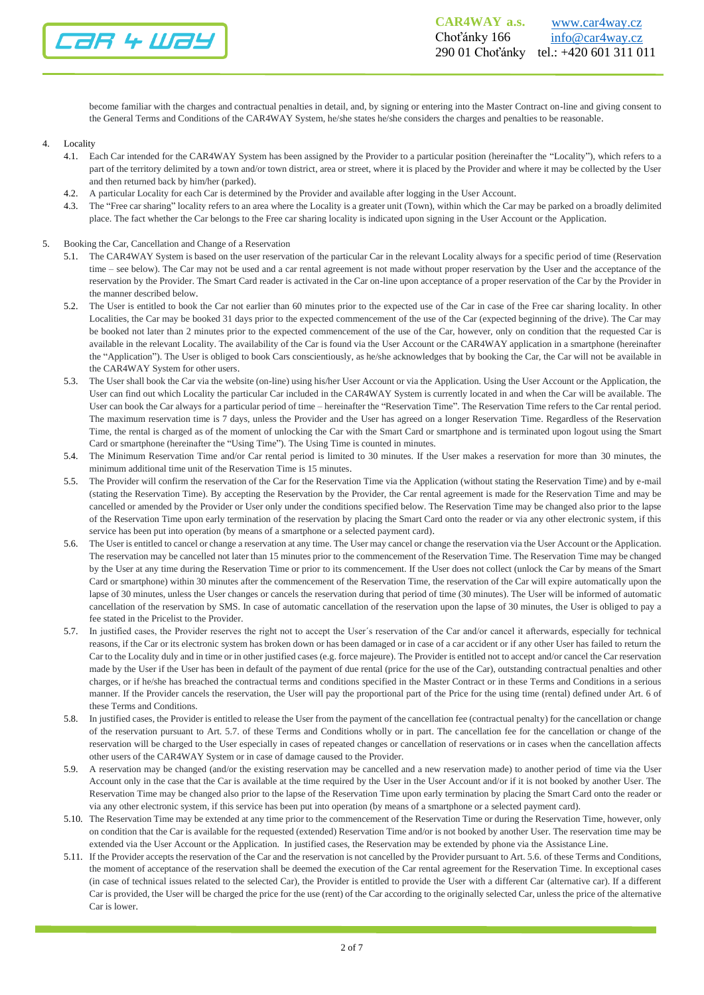

become familiar with the charges and contractual penalties in detail, and, by signing or entering into the Master Contract on-line and giving consent to the General Terms and Conditions of the CAR4WAY System, he/she states he/she considers the charges and penalties to be reasonable.

## 4. Locality

- 4.1. Each Car intended for the CAR4WAY System has been assigned by the Provider to a particular position (hereinafter the "Locality"), which refers to a part of the territory delimited by a town and/or town district, area or street, where it is placed by the Provider and where it may be collected by the User and then returned back by him/her (parked).
- 4.2. A particular Locality for each Car is determined by the Provider and available after logging in the User Account.
- 4.3. The "Free car sharing" locality refers to an area where the Locality is a greater unit (Town), within which the Car may be parked on a broadly delimited place. The fact whether the Car belongs to the Free car sharing locality is indicated upon signing in the User Account or the Application.
- 5. Booking the Car, Cancellation and Change of a Reservation
	- 5.1. The CAR4WAY System is based on the user reservation of the particular Car in the relevant Locality always for a specific period of time (Reservation time – see below). The Car may not be used and a car rental agreement is not made without proper reservation by the User and the acceptance of the reservation by the Provider. The Smart Card reader is activated in the Car on-line upon acceptance of a proper reservation of the Car by the Provider in the manner described below.
	- 5.2. The User is entitled to book the Car not earlier than 60 minutes prior to the expected use of the Car in case of the Free car sharing locality. In other Localities, the Car may be booked 31 days prior to the expected commencement of the use of the Car (expected beginning of the drive). The Car may be booked not later than 2 minutes prior to the expected commencement of the use of the Car, however, only on condition that the requested Car is available in the relevant Locality. The availability of the Car is found via the User Account or the CAR4WAY application in a smartphone (hereinafter the "Application"). The User is obliged to book Cars conscientiously, as he/she acknowledges that by booking the Car, the Car will not be available in the CAR4WAY System for other users.
	- 5.3. The User shall book the Car via the website (on-line) using his/her User Account or via the Application. Using the User Account or the Application, the User can find out which Locality the particular Car included in the CAR4WAY System is currently located in and when the Car will be available. The User can book the Car always for a particular period of time – hereinafter the "Reservation Time". The Reservation Time refers to the Car rental period. The maximum reservation time is 7 days, unless the Provider and the User has agreed on a longer Reservation Time. Regardless of the Reservation Time, the rental is charged as of the moment of unlocking the Car with the Smart Card or smartphone and is terminated upon logout using the Smart Card or smartphone (hereinafter the "Using Time"). The Using Time is counted in minutes.
	- 5.4. The Minimum Reservation Time and/or Car rental period is limited to 30 minutes. If the User makes a reservation for more than 30 minutes, the minimum additional time unit of the Reservation Time is 15 minutes.
	- 5.5. The Provider will confirm the reservation of the Car for the Reservation Time via the Application (without stating the Reservation Time) and by e-mail (stating the Reservation Time). By accepting the Reservation by the Provider, the Car rental agreement is made for the Reservation Time and may be cancelled or amended by the Provider or User only under the conditions specified below. The Reservation Time may be changed also prior to the lapse of the Reservation Time upon early termination of the reservation by placing the Smart Card onto the reader or via any other electronic system, if this service has been put into operation (by means of a smartphone or a selected payment card).
	- 5.6. The User is entitled to cancel or change a reservation at any time. The User may cancel or change the reservation via the User Account or the Application. The reservation may be cancelled not later than 15 minutes prior to the commencement of the Reservation Time. The Reservation Time may be changed by the User at any time during the Reservation Time or prior to its commencement. If the User does not collect (unlock the Car by means of the Smart Card or smartphone) within 30 minutes after the commencement of the Reservation Time, the reservation of the Car will expire automatically upon the lapse of 30 minutes, unless the User changes or cancels the reservation during that period of time (30 minutes). The User will be informed of automatic cancellation of the reservation by SMS. In case of automatic cancellation of the reservation upon the lapse of 30 minutes, the User is obliged to pay a fee stated in the Pricelist to the Provider.
	- 5.7. In justified cases, the Provider reserves the right not to accept the User´s reservation of the Car and/or cancel it afterwards, especially for technical reasons, if the Car or its electronic system has broken down or has been damaged or in case of a car accident or if any other User has failed to return the Car to the Locality duly and in time or in other justified cases (e.g. force majeure). The Provider is entitled not to accept and/or cancel the Car reservation made by the User if the User has been in default of the payment of due rental (price for the use of the Car), outstanding contractual penalties and other charges, or if he/she has breached the contractual terms and conditions specified in the Master Contract or in these Terms and Conditions in a serious manner. If the Provider cancels the reservation, the User will pay the proportional part of the Price for the using time (rental) defined under Art. 6 of these Terms and Conditions.
	- 5.8. In justified cases, the Provider is entitled to release the User from the payment of the cancellation fee (contractual penalty) for the cancellation or change of the reservation pursuant to Art. 5.7. of these Terms and Conditions wholly or in part. The cancellation fee for the cancellation or change of the reservation will be charged to the User especially in cases of repeated changes or cancellation of reservations or in cases when the cancellation affects other users of the CAR4WAY System or in case of damage caused to the Provider.
	- 5.9. A reservation may be changed (and/or the existing reservation may be cancelled and a new reservation made) to another period of time via the User Account only in the case that the Car is available at the time required by the User in the User Account and/or if it is not booked by another User. The Reservation Time may be changed also prior to the lapse of the Reservation Time upon early termination by placing the Smart Card onto the reader or via any other electronic system, if this service has been put into operation (by means of a smartphone or a selected payment card).
	- 5.10. The Reservation Time may be extended at any time prior to the commencement of the Reservation Time or during the Reservation Time, however, only on condition that the Car is available for the requested (extended) Reservation Time and/or is not booked by another User. The reservation time may be extended via the User Account or the Application. In justified cases, the Reservation may be extended by phone via the Assistance Line.
	- 5.11. If the Provider accepts the reservation of the Car and the reservation is not cancelled by the Provider pursuant to Art. 5.6. of these Terms and Conditions, the moment of acceptance of the reservation shall be deemed the execution of the Car rental agreement for the Reservation Time. In exceptional cases (in case of technical issues related to the selected Car), the Provider is entitled to provide the User with a different Car (alternative car). If a different Car is provided, the User will be charged the price for the use (rent) of the Car according to the originally selected Car, unless the price of the alternative Car is lower.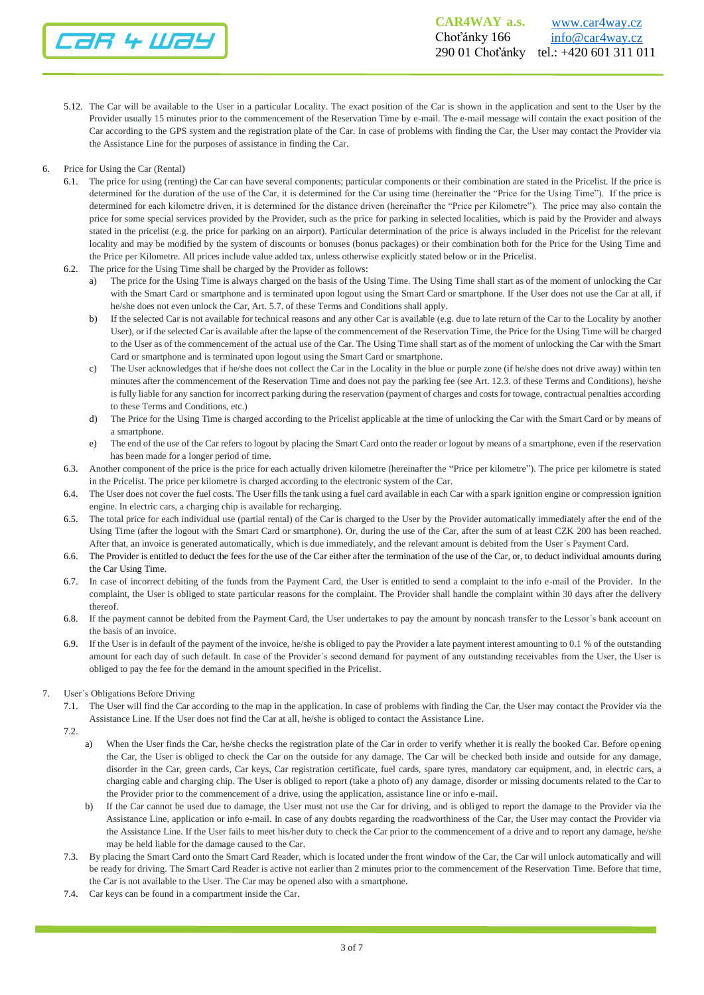

- 5.12. The Car will be available to the User in a particular Locality. The exact position of the Car is shown in the application and sent to the User by the Provider usually 15 minutes prior to the commencement of the Reservation Time by e-mail. The e-mail message will contain the exact position of the Car according to the GPS system and the registration plate of the Car. In case of problems with finding the Car, the User may contact the Provider via the Assistance Line for the purposes of assistance in finding the Car.
- 6. Price for Using the Car (Rental)
	- 6.1. The price for using (renting) the Car can have several components; particular components or their combination are stated in the Pricelist. If the price is determined for the duration of the use of the Car, it is determined for the Car using time (hereinafter the "Price for the Using Time"). If the price is determined for each kilometre driven, it is determined for the distance driven (hereinafter the "Price per Kilometre"). The price may also contain the price for some special services provided by the Provider, such as the price for parking in selected localities, which is paid by the Provider and always stated in the pricelist (e.g. the price for parking on an airport). Particular determination of the price is always included in the Pricelist for the relevant locality and may be modified by the system of discounts or bonuses (bonus packages) or their combination both for the Price for the Using Time and the Price per Kilometre. All prices include value added tax, unless otherwise explicitly stated below or in the Pricelist.
	- 6.2. The price for the Using Time shall be charged by the Provider as follows:
		- The price for the Using Time is always charged on the basis of the Using Time. The Using Time shall start as of the moment of unlocking the Car with the Smart Card or smartphone and is terminated upon logout using the Smart Card or smartphone. If the User does not use the Car at all, if he/she does not even unlock the Car, Art. 5.7. of these Terms and Conditions shall apply.
		- b) If the selected Car is not available for technical reasons and any other Car is available (e.g. due to late return of the Car to the Locality by another User), or if the selected Car is available after the lapse of the commencement of the Reservation Time, the Price for the Using Time will be charged to the User as of the commencement of the actual use of the Car. The Using Time shall start as of the moment of unlocking the Car with the Smart Card or smartphone and is terminated upon logout using the Smart Card or smartphone.
		- c) The User acknowledges that if he/she does not collect the Car in the Locality in the blue or purple zone (if he/she does not drive away) within ten minutes after the commencement of the Reservation Time and does not pay the parking fee (see Art. 12.3. of these Terms and Conditions), he/she is fully liable for any sanction for incorrect parking during the reservation (payment of charges and costs for towage, contractual penalties according to these Terms and Conditions, etc.)
		- d) The Price for the Using Time is charged according to the Pricelist applicable at the time of unlocking the Car with the Smart Card or by means of a smartphone.
		- e) The end of the use of the Car refers to logout by placing the Smart Card onto the reader or logout by means of a smartphone, even if the reservation has been made for a longer period of time.
	- 6.3. Another component of the price is the price for each actually driven kilometre (hereinafter the "Price per kilometre"). The price per kilometre is stated in the Pricelist. The price per kilometre is charged according to the electronic system of the Car.
	- 6.4. The User does not cover the fuel costs. The User fills the tank using a fuel card available in each Car with a spark ignition engine or compression ignition engine. In electric cars, a charging chip is available for recharging.
	- 6.5. The total price for each individual use (partial rental) of the Car is charged to the User by the Provider automatically immediately after the end of the Using Time (after the logout with the Smart Card or smartphone). Or, during the use of the Car, after the sum of at least CZK 200 has been reached. After that, an invoice is generated automatically, which is due immediately, and the relevant amount is debited from the User´s Payment Card.
	- 6.6. The Provider is entitled to deduct the fees for the use of the Car either after the termination of the use of the Car, or, to deduct individual amounts during the Car Using Time.
	- 6.7. In case of incorrect debiting of the funds from the Payment Card, the User is entitled to send a complaint to the info e-mail of the Provider. In the complaint, the User is obliged to state particular reasons for the complaint. The Provider shall handle the complaint within 30 days after the delivery thereof.
	- 6.8. If the payment cannot be debited from the Payment Card, the User undertakes to pay the amount by noncash transfer to the Lessor´s bank account on the basis of an invoice.
	- 6.9. If the User is in default of the payment of the invoice, he/she is obliged to pay the Provider a late payment interest amounting to 0.1 % of the outstanding amount for each day of such default. In case of the Provider´s second demand for payment of any outstanding receivables from the User, the User is obliged to pay the fee for the demand in the amount specified in the Pricelist.
- 7. User´s Obligations Before Driving
	- 7.1. The User will find the Car according to the map in the application. In case of problems with finding the Car, the User may contact the Provider via the Assistance Line. If the User does not find the Car at all, he/she is obliged to contact the Assistance Line.
	- 7.2.
		- a) When the User finds the Car, he/she checks the registration plate of the Car in order to verify whether it is really the booked Car. Before opening the Car, the User is obliged to check the Car on the outside for any damage. The Car will be checked both inside and outside for any damage, disorder in the Car, green cards, Car keys, Car registration certificate, fuel cards, spare tyres, mandatory car equipment, and, in electric cars, a charging cable and charging chip. The User is obliged to report (take a photo of) any damage, disorder or missing documents related to the Car to the Provider prior to the commencement of a drive, using the application, assistance line or info e-mail.
		- b) If the Car cannot be used due to damage, the User must not use the Car for driving, and is obliged to report the damage to the Provider via the Assistance Line, application or info e-mail. In case of any doubts regarding the roadworthiness of the Car, the User may contact the Provider via the Assistance Line. If the User fails to meet his/her duty to check the Car prior to the commencement of a drive and to report any damage, he/she may be held liable for the damage caused to the Car.
	- 7.3. By placing the Smart Card onto the Smart Card Reader, which is located under the front window of the Car, the Car will unlock automatically and will be ready for driving. The Smart Card Reader is active not earlier than 2 minutes prior to the commencement of the Reservation Time. Before that time, the Car is not available to the User. The Car may be opened also with a smartphone.
	- 7.4. Car keys can be found in a compartment inside the Car.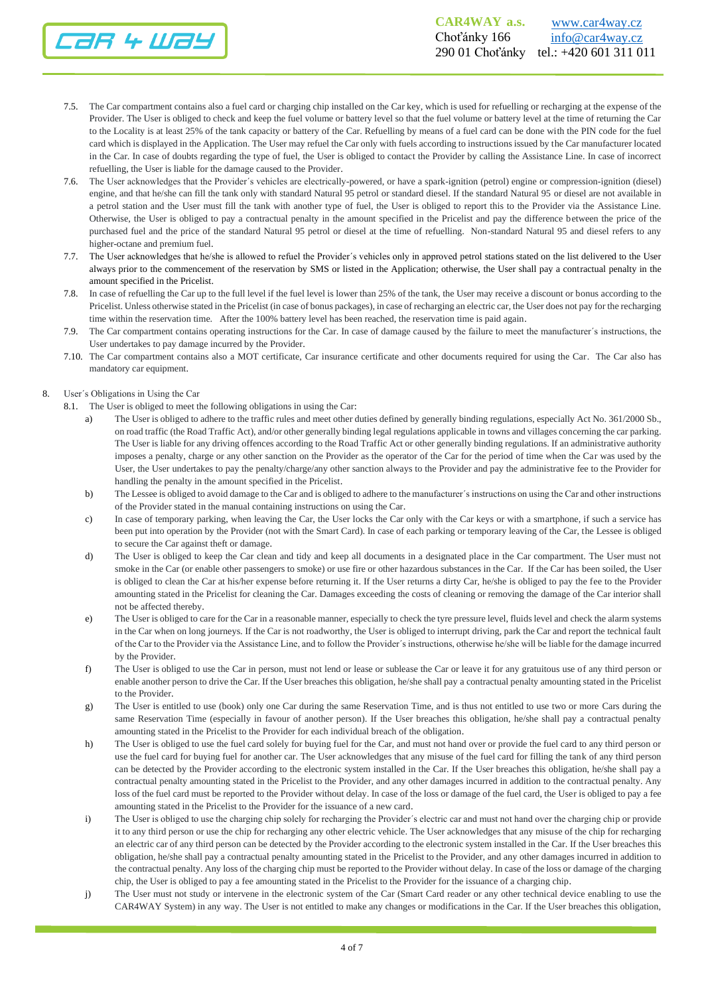

- 7.5. The Car compartment contains also a fuel card or charging chip installed on the Car key, which is used for refuelling or recharging at the expense of the Provider. The User is obliged to check and keep the fuel volume or battery level so that the fuel volume or battery level at the time of returning the Car to the Locality is at least 25% of the tank capacity or battery of the Car. Refuelling by means of a fuel card can be done with the PIN code for the fuel card which is displayed in the Application. The User may refuel the Car only with fuels according to instructions issued by the Car manufacturer located in the Car. In case of doubts regarding the type of fuel, the User is obliged to contact the Provider by calling the Assistance Line. In case of incorrect refuelling, the User is liable for the damage caused to the Provider.
- 7.6. The User acknowledges that the Provider´s vehicles are electrically-powered, or have a spark-ignition (petrol) engine or compression-ignition (diesel) engine, and that he/she can fill the tank only with standard Natural 95 petrol or standard diesel. If the standard Natural 95 or diesel are not available in a petrol station and the User must fill the tank with another type of fuel, the User is obliged to report this to the Provider via the Assistance Line. Otherwise, the User is obliged to pay a contractual penalty in the amount specified in the Pricelist and pay the difference between the price of the purchased fuel and the price of the standard Natural 95 petrol or diesel at the time of refuelling. Non-standard Natural 95 and diesel refers to any higher-octane and premium fuel.
- 7.7. The User acknowledges that he/she is allowed to refuel the Provider´s vehicles only in approved petrol stations stated on the list delivered to the User always prior to the commencement of the reservation by SMS or listed in the Application; otherwise, the User shall pay a contractual penalty in the amount specified in the Pricelist.
- 7.8. In case of refuelling the Car up to the full level if the fuel level is lower than 25% of the tank, the User may receive a discount or bonus according to the Pricelist. Unless otherwise stated in the Pricelist (in case of bonus packages), in case of recharging an electric car, the User does not pay for the recharging time within the reservation time. After the 100% battery level has been reached, the reservation time is paid again.
- 7.9. The Car compartment contains operating instructions for the Car. In case of damage caused by the failure to meet the manufacturer´s instructions, the User undertakes to pay damage incurred by the Provider.
- 7.10. The Car compartment contains also a MOT certificate, Car insurance certificate and other documents required for using the Car. The Car also has mandatory car equipment.
- 8. User´s Obligations in Using the Car
	- 8.1. The User is obliged to meet the following obligations in using the Car:
		- a) The User is obliged to adhere to the traffic rules and meet other duties defined by generally binding regulations, especially Act No. 361/2000 Sb., on road traffic (the Road Traffic Act), and/or other generally binding legal regulations applicable in towns and villages concerning the car parking. The User is liable for any driving offences according to the Road Traffic Act or other generally binding regulations. If an administrative authority imposes a penalty, charge or any other sanction on the Provider as the operator of the Car for the period of time when the Car was used by the User, the User undertakes to pay the penalty/charge/any other sanction always to the Provider and pay the administrative fee to the Provider for handling the penalty in the amount specified in the Pricelist.
		- b) The Lessee is obliged to avoid damage to the Car and is obliged to adhere to the manufacturer´s instructions on using the Car and other instructions of the Provider stated in the manual containing instructions on using the Car.
		- c) In case of temporary parking, when leaving the Car, the User locks the Car only with the Car keys or with a smartphone, if such a service has been put into operation by the Provider (not with the Smart Card). In case of each parking or temporary leaving of the Car, the Lessee is obliged to secure the Car against theft or damage.
		- d) The User is obliged to keep the Car clean and tidy and keep all documents in a designated place in the Car compartment. The User must not smoke in the Car (or enable other passengers to smoke) or use fire or other hazardous substances in the Car. If the Car has been soiled, the User is obliged to clean the Car at his/her expense before returning it. If the User returns a dirty Car, he/she is obliged to pay the fee to the Provider amounting stated in the Pricelist for cleaning the Car. Damages exceeding the costs of cleaning or removing the damage of the Car interior shall not be affected thereby.
		- e) The User is obliged to care for the Car in a reasonable manner, especially to check the tyre pressure level, fluids level and check the alarm systems in the Car when on long journeys. If the Car is not roadworthy, the User is obliged to interrupt driving, park the Car and report the technical fault of the Car to the Provider via the Assistance Line, and to follow the Provider´s instructions, otherwise he/she will be liable for the damage incurred by the Provider.
		- f) The User is obliged to use the Car in person, must not lend or lease or sublease the Car or leave it for any gratuitous use of any third person or enable another person to drive the Car. If the User breaches this obligation, he/she shall pay a contractual penalty amounting stated in the Pricelist to the Provider.
		- g) The User is entitled to use (book) only one Car during the same Reservation Time, and is thus not entitled to use two or more Cars during the same Reservation Time (especially in favour of another person). If the User breaches this obligation, he/she shall pay a contractual penalty amounting stated in the Pricelist to the Provider for each individual breach of the obligation.
		- h) The User is obliged to use the fuel card solely for buying fuel for the Car, and must not hand over or provide the fuel card to any third person or use the fuel card for buying fuel for another car. The User acknowledges that any misuse of the fuel card for filling the tank of any third person can be detected by the Provider according to the electronic system installed in the Car. If the User breaches this obligation, he/she shall pay a contractual penalty amounting stated in the Pricelist to the Provider, and any other damages incurred in addition to the contractual penalty. Any loss of the fuel card must be reported to the Provider without delay. In case of the loss or damage of the fuel card, the User is obliged to pay a fee amounting stated in the Pricelist to the Provider for the issuance of a new card.
		- i) The User is obliged to use the charging chip solely for recharging the Provider´s electric car and must not hand over the charging chip or provide it to any third person or use the chip for recharging any other electric vehicle. The User acknowledges that any misuse of the chip for recharging an electric car of any third person can be detected by the Provider according to the electronic system installed in the Car. If the User breaches this obligation, he/she shall pay a contractual penalty amounting stated in the Pricelist to the Provider, and any other damages incurred in addition to the contractual penalty. Any loss of the charging chip must be reported to the Provider without delay. In case of the loss or damage of the charging chip, the User is obliged to pay a fee amounting stated in the Pricelist to the Provider for the issuance of a charging chip.
		- j) The User must not study or intervene in the electronic system of the Car (Smart Card reader or any other technical device enabling to use the CAR4WAY System) in any way. The User is not entitled to make any changes or modifications in the Car. If the User breaches this obligation,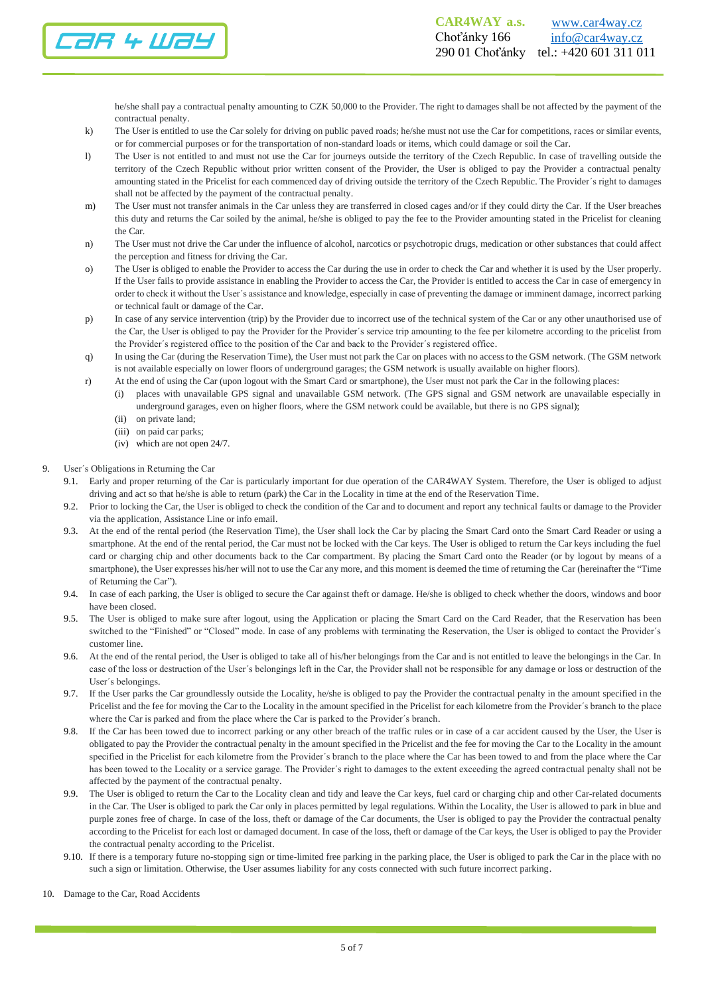

he/she shall pay a contractual penalty amounting to CZK 50,000 to the Provider. The right to damages shall be not affected by the payment of the contractual penalty.

- k) The User is entitled to use the Car solely for driving on public paved roads; he/she must not use the Car for competitions, races or similar events, or for commercial purposes or for the transportation of non-standard loads or items, which could damage or soil the Car.
- l) The User is not entitled to and must not use the Car for journeys outside the territory of the Czech Republic. In case of travelling outside the territory of the Czech Republic without prior written consent of the Provider, the User is obliged to pay the Provider a contractual penalty amounting stated in the Pricelist for each commenced day of driving outside the territory of the Czech Republic. The Provider´s right to damages shall not be affected by the payment of the contractual penalty.
- m) The User must not transfer animals in the Car unless they are transferred in closed cages and/or if they could dirty the Car. If the User breaches this duty and returns the Car soiled by the animal, he/she is obliged to pay the fee to the Provider amounting stated in the Pricelist for cleaning the Car.
- n) The User must not drive the Car under the influence of alcohol, narcotics or psychotropic drugs, medication or other substances that could affect the perception and fitness for driving the Car.
- o) The User is obliged to enable the Provider to access the Car during the use in order to check the Car and whether it is used by the User properly. If the User fails to provide assistance in enabling the Provider to access the Car, the Provider is entitled to access the Car in case of emergency in order to check it without the User´s assistance and knowledge, especially in case of preventing the damage or imminent damage, incorrect parking or technical fault or damage of the Car.
- p) In case of any service intervention (trip) by the Provider due to incorrect use of the technical system of the Car or any other unauthorised use of the Car, the User is obliged to pay the Provider for the Provider´s service trip amounting to the fee per kilometre according to the pricelist from the Provider´s registered office to the position of the Car and back to the Provider´s registered office.
- q) In using the Car (during the Reservation Time), the User must not park the Car on places with no access to the GSM network. (The GSM network is not available especially on lower floors of underground garages; the GSM network is usually available on higher floors).
- r) At the end of using the Car (upon logout with the Smart Card or smartphone), the User must not park the Car in the following places:
	- (i) places with unavailable GPS signal and unavailable GSM network. (The GPS signal and GSM network are unavailable especially in underground garages, even on higher floors, where the GSM network could be available, but there is no GPS signal);
	- (ii) on private land;
	- (iii) on paid car parks;
	- (iv) which are not open 24/7.
- 9. User´s Obligations in Returning the Car
	- 9.1. Early and proper returning of the Car is particularly important for due operation of the CAR4WAY System. Therefore, the User is obliged to adjust driving and act so that he/she is able to return (park) the Car in the Locality in time at the end of the Reservation Time.
	- 9.2. Prior to locking the Car, the User is obliged to check the condition of the Car and to document and report any technical faults or damage to the Provider via the application, Assistance Line or info email.
	- 9.3. At the end of the rental period (the Reservation Time), the User shall lock the Car by placing the Smart Card onto the Smart Card Reader or using a smartphone. At the end of the rental period, the Car must not be locked with the Car keys. The User is obliged to return the Car keys including the fuel card or charging chip and other documents back to the Car compartment. By placing the Smart Card onto the Reader (or by logout by means of a smartphone), the User expresses his/her will not to use the Car any more, and this moment is deemed the time of returning the Car (hereinafter the "Time of Returning the Car").
	- 9.4. In case of each parking, the User is obliged to secure the Car against theft or damage. He/she is obliged to check whether the doors, windows and boor have been closed.
	- 9.5. The User is obliged to make sure after logout, using the Application or placing the Smart Card on the Card Reader, that the Reservation has been switched to the "Finished" or "Closed" mode. In case of any problems with terminating the Reservation, the User is obliged to contact the Provider´s customer line.
	- 9.6. At the end of the rental period, the User is obliged to take all of his/her belongings from the Car and is not entitled to leave the belongings in the Car. In case of the loss or destruction of the User´s belongings left in the Car, the Provider shall not be responsible for any damage or loss or destruction of the User´s belongings.
	- 9.7. If the User parks the Car groundlessly outside the Locality, he/she is obliged to pay the Provider the contractual penalty in the amount specified in the Pricelist and the fee for moving the Car to the Locality in the amount specified in the Pricelist for each kilometre from the Provider´s branch to the place where the Car is parked and from the place where the Car is parked to the Provider´s branch.
	- 9.8. If the Car has been towed due to incorrect parking or any other breach of the traffic rules or in case of a car accident caused by the User, the User is obligated to pay the Provider the contractual penalty in the amount specified in the Pricelist and the fee for moving the Car to the Locality in the amount specified in the Pricelist for each kilometre from the Provider´s branch to the place where the Car has been towed to and from the place where the Car has been towed to the Locality or a service garage. The Provider´s right to damages to the extent exceeding the agreed contractual penalty shall not be affected by the payment of the contractual penalty.
	- 9.9. The User is obliged to return the Car to the Locality clean and tidy and leave the Car keys, fuel card or charging chip and other Car-related documents in the Car. The User is obliged to park the Car only in places permitted by legal regulations. Within the Locality, the User is allowed to park in blue and purple zones free of charge. In case of the loss, theft or damage of the Car documents, the User is obliged to pay the Provider the contractual penalty according to the Pricelist for each lost or damaged document. In case of the loss, theft or damage of the Car keys, the User is obliged to pay the Provider the contractual penalty according to the Pricelist.
	- 9.10. If there is a temporary future no-stopping sign or time-limited free parking in the parking place, the User is obliged to park the Car in the place with no such a sign or limitation. Otherwise, the User assumes liability for any costs connected with such future incorrect parking.
- 10. Damage to the Car, Road Accidents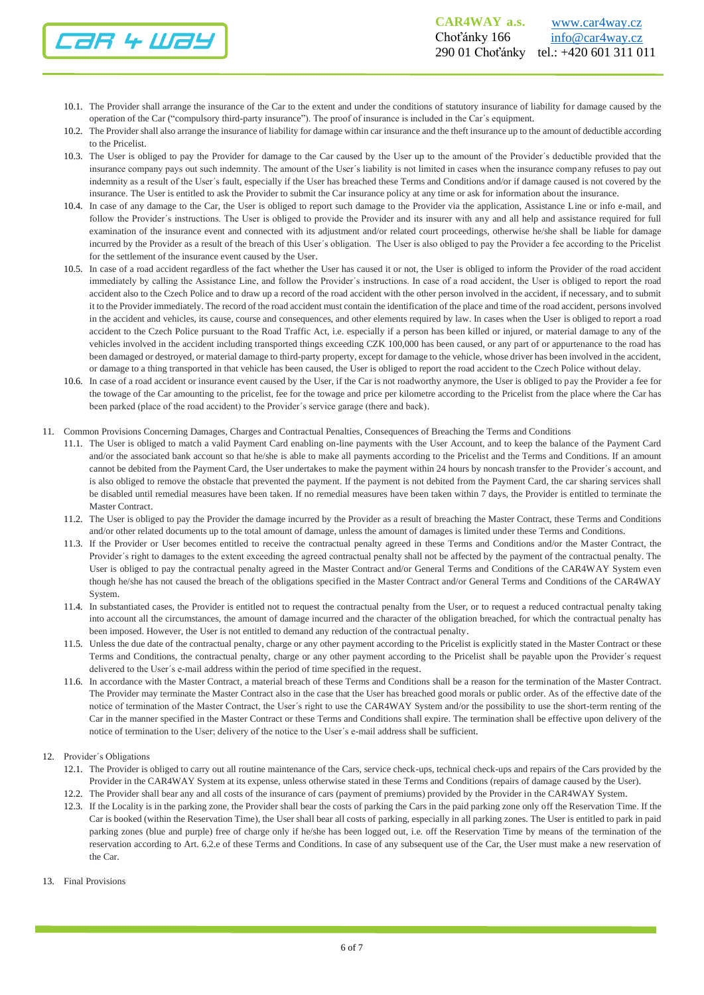

- 10.1. The Provider shall arrange the insurance of the Car to the extent and under the conditions of statutory insurance of liability for damage caused by the operation of the Car ("compulsory third-party insurance"). The proof of insurance is included in the Car´s equipment.
- 10.2. The Provider shall also arrange the insurance of liability for damage within car insurance and the theft insurance up to the amount of deductible according to the Pricelist.
- 10.3. The User is obliged to pay the Provider for damage to the Car caused by the User up to the amount of the Provider´s deductible provided that the insurance company pays out such indemnity. The amount of the User´s liability is not limited in cases when the insurance company refuses to pay out indemnity as a result of the User´s fault, especially if the User has breached these Terms and Conditions and/or if damage caused is not covered by the insurance. The User is entitled to ask the Provider to submit the Car insurance policy at any time or ask for information about the insurance.
- 10.4. In case of any damage to the Car, the User is obliged to report such damage to the Provider via the application, Assistance Line or info e-mail, and follow the Provider's instructions. The User is obliged to provide the Provider and its insurer with any and all help and assistance required for full examination of the insurance event and connected with its adjustment and/or related court proceedings, otherwise he/she shall be liable for damage incurred by the Provider as a result of the breach of this User´s obligation. The User is also obliged to pay the Provider a fee according to the Pricelist for the settlement of the insurance event caused by the User.
- 10.5. In case of a road accident regardless of the fact whether the User has caused it or not, the User is obliged to inform the Provider of the road accident immediately by calling the Assistance Line, and follow the Provider´s instructions. In case of a road accident, the User is obliged to report the road accident also to the Czech Police and to draw up a record of the road accident with the other person involved in the accident, if necessary, and to submit it to the Provider immediately. The record of the road accident must contain the identification of the place and time of the road accident, persons involved in the accident and vehicles, its cause, course and consequences, and other elements required by law. In cases when the User is obliged to report a road accident to the Czech Police pursuant to the Road Traffic Act, i.e. especially if a person has been killed or injured, or material damage to any of the vehicles involved in the accident including transported things exceeding CZK 100,000 has been caused, or any part of or appurtenance to the road has been damaged or destroyed, or material damage to third-party property, except for damage to the vehicle, whose driver has been involved in the accident, or damage to a thing transported in that vehicle has been caused, the User is obliged to report the road accident to the Czech Police without delay.
- 10.6. In case of a road accident or insurance event caused by the User, if the Car is not roadworthy anymore, the User is obliged to pay the Provider a fee for the towage of the Car amounting to the pricelist, fee for the towage and price per kilometre according to the Pricelist from the place where the Car has been parked (place of the road accident) to the Provider´s service garage (there and back).
- 11. Common Provisions Concerning Damages, Charges and Contractual Penalties, Consequences of Breaching the Terms and Conditions
	- 11.1. The User is obliged to match a valid Payment Card enabling on-line payments with the User Account, and to keep the balance of the Payment Card and/or the associated bank account so that he/she is able to make all payments according to the Pricelist and the Terms and Conditions. If an amount cannot be debited from the Payment Card, the User undertakes to make the payment within 24 hours by noncash transfer to the Provider´s account, and is also obliged to remove the obstacle that prevented the payment. If the payment is not debited from the Payment Card, the car sharing services shall be disabled until remedial measures have been taken. If no remedial measures have been taken within 7 days, the Provider is entitled to terminate the Master Contract.
	- 11.2. The User is obliged to pay the Provider the damage incurred by the Provider as a result of breaching the Master Contract, these Terms and Conditions and/or other related documents up to the total amount of damage, unless the amount of damages is limited under these Terms and Conditions.
	- 11.3. If the Provider or User becomes entitled to receive the contractual penalty agreed in these Terms and Conditions and/or the Master Contract, the Provider´s right to damages to the extent exceeding the agreed contractual penalty shall not be affected by the payment of the contractual penalty. The User is obliged to pay the contractual penalty agreed in the Master Contract and/or General Terms and Conditions of the CAR4WAY System even though he/she has not caused the breach of the obligations specified in the Master Contract and/or General Terms and Conditions of the CAR4WAY System.
	- 11.4. In substantiated cases, the Provider is entitled not to request the contractual penalty from the User, or to request a reduced contractual penalty taking into account all the circumstances, the amount of damage incurred and the character of the obligation breached, for which the contractual penalty has been imposed. However, the User is not entitled to demand any reduction of the contractual penalty.
	- 11.5. Unless the due date of the contractual penalty, charge or any other payment according to the Pricelist is explicitly stated in the Master Contract or these Terms and Conditions, the contractual penalty, charge or any other payment according to the Pricelist shall be payable upon the Provider´s request delivered to the User´s e-mail address within the period of time specified in the request.
	- 11.6. In accordance with the Master Contract, a material breach of these Terms and Conditions shall be a reason for the termination of the Master Contract. The Provider may terminate the Master Contract also in the case that the User has breached good morals or public order. As of the effective date of the notice of termination of the Master Contract, the User´s right to use the CAR4WAY System and/or the possibility to use the short-term renting of the Car in the manner specified in the Master Contract or these Terms and Conditions shall expire. The termination shall be effective upon delivery of the notice of termination to the User; delivery of the notice to the User´s e-mail address shall be sufficient.
- 12. Provider´s Obligations
	- 12.1. The Provider is obliged to carry out all routine maintenance of the Cars, service check-ups, technical check-ups and repairs of the Cars provided by the Provider in the CAR4WAY System at its expense, unless otherwise stated in these Terms and Conditions (repairs of damage caused by the User).
	- 12.2. The Provider shall bear any and all costs of the insurance of cars (payment of premiums) provided by the Provider in the CAR4WAY System.
	- 12.3. If the Locality is in the parking zone, the Provider shall bear the costs of parking the Cars in the paid parking zone only off the Reservation Time. If the Car is booked (within the Reservation Time), the User shall bear all costs of parking, especially in all parking zones. The User is entitled to park in paid parking zones (blue and purple) free of charge only if he/she has been logged out, i.e. off the Reservation Time by means of the termination of the reservation according to Art. 6.2.e of these Terms and Conditions. In case of any subsequent use of the Car, the User must make a new reservation of the Car.
- 13. Final Provisions